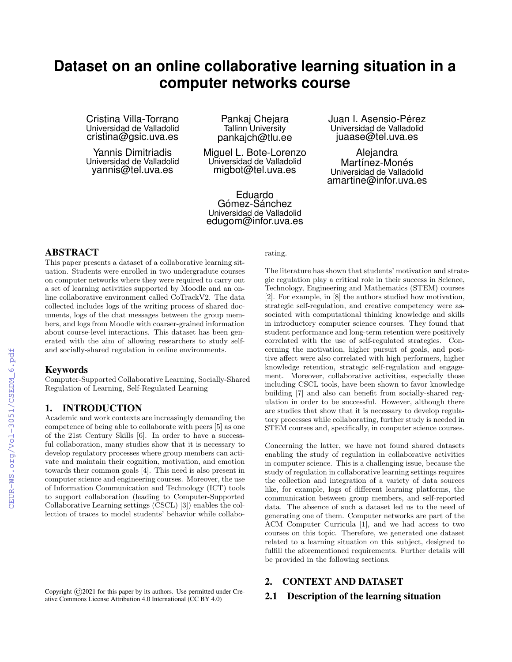# **Dataset on an online collaborative learning situation in a computer networks course**

Cristina Villa-Torrano Universidad de Valladolid cristina@gsic.uva.es

Yannis Dimitriadis Universidad de Valladolid yannis@tel.uva.es

Pankaj Chejara Tallinn University pankajch@tlu.ee

Miguel L. Bote-Lorenzo Universidad de Valladolid migbot@tel.uva.es

Eduardo Gómez-Sánchez Universidad de Valladolid edugom@infor.uva.es Juan I. Asensio-Pérez Universidad de Valladolid juaase@tel.uva.es

Alejandra Martínez-Monés Universidad de Valladolid amartine@infor.uva.es

# ABSTRACT

This paper presents a dataset of a collaborative learning situation. Students were enrolled in two undergradute courses on computer networks where they were required to carry out a set of learning activities supported by Moodle and an online collaborative environment called CoTrackV2. The data collected includes logs of the writing process of shared documents, logs of the chat messages between the group members, and logs from Moodle with coarser-grained information about course-level interactions. This dataset has been generated with the aim of allowing researchers to study selfand socially-shared regulation in online environments.

### Keywords

Computer-Supported Collaborative Learning, Socially-Shared Regulation of Learning, Self-Regulated Learning

# 1. INTRODUCTION

Academic and work contexts are increasingly demanding the competence of being able to collaborate with peers [5] as one of the 21st Century Skills [6]. In order to have a successful collaboration, many studies show that it is necessary to develop regulatory processes where group members can activate and maintain their cognition, motivation, and emotion towards their common goals [4]. This need is also present in computer science and engineering courses. Moreover, the use of Information Communication and Technology (ICT) tools to support collaboration (leading to Computer-Supported Collaborative Learning settings (CSCL) [3]) enables the collection of traces to model students' behavior while collabo-

Copyright  $\odot$  2021 for this paper by its authors. Use permitted under Creative Commons License Attribution 4.0 International (CC BY 4.0)

rating.

The literature has shown that students' motivation and strategic regulation play a critical role in their success in Science, Technology, Engineering and Mathematics (STEM) courses [2]. For example, in [8] the authors studied how motivation, strategic self-regulation, and creative competency were associated with computational thinking knowledge and skills in introductory computer science courses. They found that student performance and long-term retention were positively correlated with the use of self-regulated strategies. Concerning the motivation, higher pursuit of goals, and positive affect were also correlated with high performers, higher knowledge retention, strategic self-regulation and engagement. Moreover, collaborative activities, especially those including CSCL tools, have been shown to favor knowledge building [7] and also can benefit from socially-shared regulation in order to be successful. However, although there are studies that show that it is necessary to develop regulatory processes while collaborating, further study is needed in STEM courses and, specifically, in computer science courses.

Concerning the latter, we have not found shared datasets enabling the study of regulation in collaborative activities in computer science. This is a challenging issue, because the study of regulation in collaborative learning settings requires the collection and integration of a variety of data sources like, for example, logs of different learning platforms, the communication between group members, and self-reported data. The absence of such a dataset led us to the need of generating one of them. Computer networks are part of the ACM Computer Curricula [1], and we had access to two courses on this topic. Therefore, we generated one dataset related to a learning situation on this subject, designed to fulfill the aforementioned requirements. Further details will be provided in the following sections.

# 2. CONTEXT AND DATASET

### 2.1 Description of the learning situation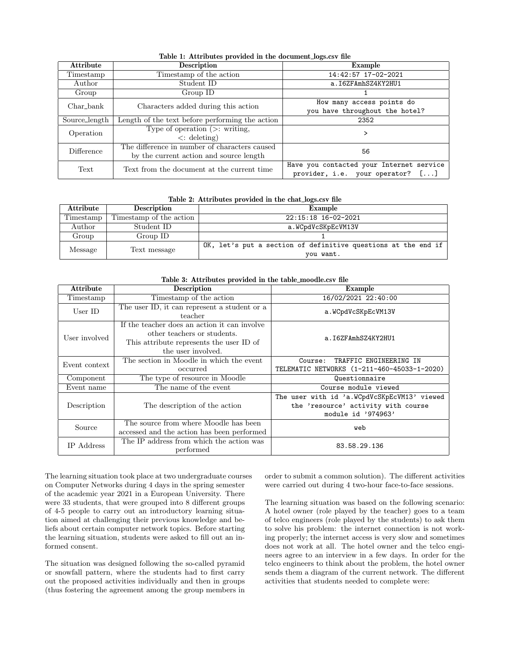| <b>Attribute</b> | <b>Description</b>                              | Example                                  |  |
|------------------|-------------------------------------------------|------------------------------------------|--|
| Timestamp        | Timestamp of the action                         | 14:42:57 17-02-2021                      |  |
| Author           | Student ID                                      | a.I6ZFAmhSZ4KY2HU1                       |  |
| Group            | Group ID                                        |                                          |  |
| Char_bank        | Characters added during this action             | How many access points do                |  |
|                  |                                                 | you have throughout the hotel?           |  |
| Source_length    | Length of the text before performing the action | 2352                                     |  |
| Operation        | Type of operation $(>:$ writing,                |                                          |  |
|                  | $\langle$ : deleting)                           |                                          |  |
| Difference       | The difference in number of characters caused   | 56                                       |  |
|                  | by the current action and source length         |                                          |  |
| Text             | Text from the document at the current time      | Have you contacted your Internet service |  |
|                  |                                                 | provider, i.e. your operator? []         |  |

Table 1: Attributes provided in the document logs.csv file

| Table 2: Attributes provided in the chat_logs.csv file |  |  |  |  |  |  |
|--------------------------------------------------------|--|--|--|--|--|--|
|--------------------------------------------------------|--|--|--|--|--|--|

| <b>Attribute</b> | <b>Description</b>      | Example                                                       |  |  |
|------------------|-------------------------|---------------------------------------------------------------|--|--|
| Timestamp        | Timestamp of the action | 22:15:18 16-02-2021                                           |  |  |
| Author           | Student ID              | a.WCpdVcSKpEcVM13V                                            |  |  |
| Group            | Group ID                |                                                               |  |  |
| Message          | Text message            | OK, let's put a section of definitive questions at the end if |  |  |
|                  |                         | you want.                                                     |  |  |

| <b>Attribute</b> | Table 3: Attributes provided in the table_moodle.csv file<br>Description                                                                      | Example                                                                                                  |
|------------------|-----------------------------------------------------------------------------------------------------------------------------------------------|----------------------------------------------------------------------------------------------------------|
| Timestamp        | Timestamp of the action                                                                                                                       | 16/02/2021 22:40:00                                                                                      |
| User ID          | The user ID, it can represent a student or a<br>teacher                                                                                       | a.WCpdVcSKpEcVM13V                                                                                       |
| User involved    | If the teacher does an action it can involve<br>other teachers or students.<br>This attribute represents the user ID of<br>the user involved. | a.I6ZFAmhSZ4KY2HU1                                                                                       |
| Event context    | The section in Moodle in which the event<br>occurred                                                                                          | TRAFFIC ENGINEERING IN<br>Course:<br>TELEMATIC NETWORKS (1-211-460-45033-1-2020)                         |
| Component        | The type of resource in Moodle                                                                                                                | Questionnaire                                                                                            |
| Event name       | The name of the event                                                                                                                         | Course module viewed                                                                                     |
| Description      | The description of the action                                                                                                                 | The user with id 'a.WCpdVcSKpEcVM13' viewed<br>the 'resource' activity with course<br>module id '974963' |
| Source           | The source from where Moodle has been<br>accessed and the action has been performed                                                           | web                                                                                                      |
| IP Address       | The IP address from which the action was<br>performed                                                                                         | 83.58.29.136                                                                                             |

#### Table 3: Attributes provided in the table moodle.csv file

The learning situation took place at two undergraduate courses on Computer Networks during 4 days in the spring semester of the academic year 2021 in a European University. There were 33 students, that were grouped into 8 different groups of 4-5 people to carry out an introductory learning situation aimed at challenging their previous knowledge and beliefs about certain computer network topics. Before starting the learning situation, students were asked to fill out an informed consent.

The situation was designed following the so-called pyramid or snowfall pattern, where the students had to first carry out the proposed activities individually and then in groups (thus fostering the agreement among the group members in order to submit a common solution). The different activities were carried out during 4 two-hour face-to-face sessions.

The learning situation was based on the following scenario: A hotel owner (role played by the teacher) goes to a team of telco engineers (role played by the students) to ask them to solve his problem: the internet connection is not working properly; the internet access is very slow and sometimes does not work at all. The hotel owner and the telco engineers agree to an interview in a few days. In order for the telco engineers to think about the problem, the hotel owner sends them a diagram of the current network. The different activities that students needed to complete were: